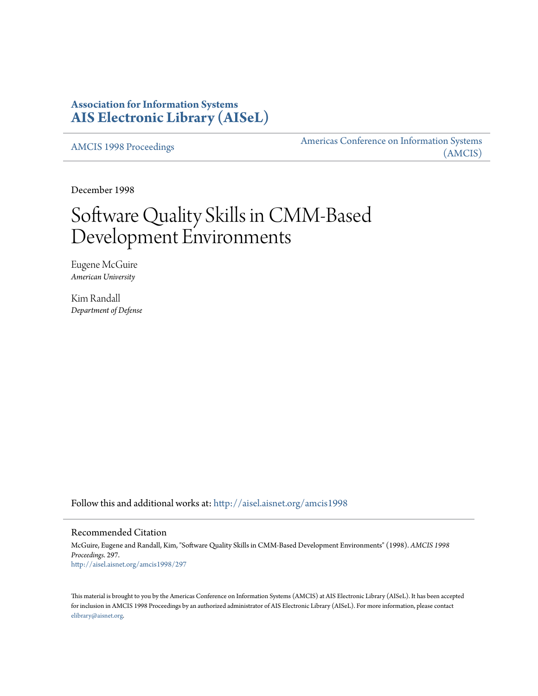# **Association for Information Systems [AIS Electronic Library \(AISeL\)](http://aisel.aisnet.org?utm_source=aisel.aisnet.org%2Famcis1998%2F297&utm_medium=PDF&utm_campaign=PDFCoverPages)**

[AMCIS 1998 Proceedings](http://aisel.aisnet.org/amcis1998?utm_source=aisel.aisnet.org%2Famcis1998%2F297&utm_medium=PDF&utm_campaign=PDFCoverPages)

[Americas Conference on Information Systems](http://aisel.aisnet.org/amcis?utm_source=aisel.aisnet.org%2Famcis1998%2F297&utm_medium=PDF&utm_campaign=PDFCoverPages) [\(AMCIS\)](http://aisel.aisnet.org/amcis?utm_source=aisel.aisnet.org%2Famcis1998%2F297&utm_medium=PDF&utm_campaign=PDFCoverPages)

December 1998

# Software Quality Skills in CMM-Based Development Environments

Eugene McGuire *American University*

Kim Randall *Department of Defense*

Follow this and additional works at: [http://aisel.aisnet.org/amcis1998](http://aisel.aisnet.org/amcis1998?utm_source=aisel.aisnet.org%2Famcis1998%2F297&utm_medium=PDF&utm_campaign=PDFCoverPages)

### Recommended Citation

McGuire, Eugene and Randall, Kim, "Software Quality Skills in CMM-Based Development Environments" (1998). *AMCIS 1998 Proceedings*. 297. [http://aisel.aisnet.org/amcis1998/297](http://aisel.aisnet.org/amcis1998/297?utm_source=aisel.aisnet.org%2Famcis1998%2F297&utm_medium=PDF&utm_campaign=PDFCoverPages)

This material is brought to you by the Americas Conference on Information Systems (AMCIS) at AIS Electronic Library (AISeL). It has been accepted for inclusion in AMCIS 1998 Proceedings by an authorized administrator of AIS Electronic Library (AISeL). For more information, please contact [elibrary@aisnet.org.](mailto:elibrary@aisnet.org%3E)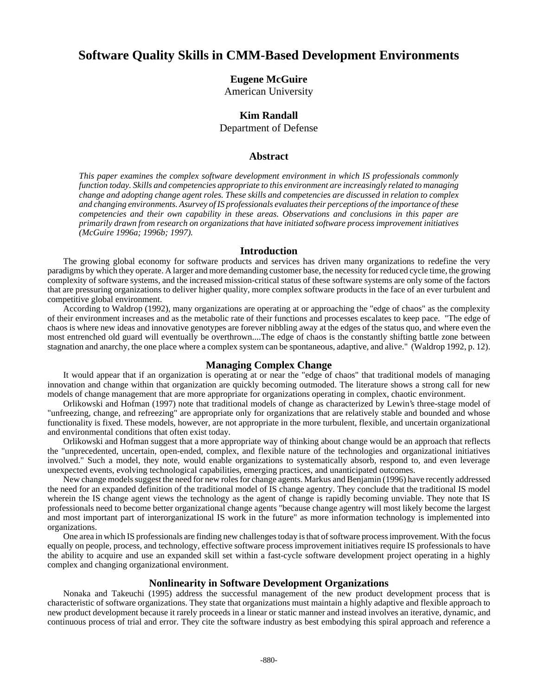# **Software Quality Skills in CMM-Based Development Environments**

### **Eugene McGuire**

American University

## **Kim Randall**

Department of Defense

#### **Abstract**

*This paper examines the complex software development environment in which IS professionals commonly function today. Skills and competencies appropriate to this environment are increasingly related to managing change and adopting change agent roles. These skills and competencies are discussed in relation to complex and changing environments. Asurvey of IS professionals evaluates their perceptions of the importance of these competencies and their own capability in these areas. Observations and conclusions in this paper are primarily drawn from research on organizations that have initiated software process improvement initiatives (McGuire 1996a; 1996b; 1997).*

#### **Introduction**

The growing global economy for software products and services has driven many organizations to redefine the very paradigms by which they operate. A larger and more demanding customer base, the necessity for reduced cycle time, the growing complexity of software systems, and the increased mission-critical status of these software systems are only some of the factors that are pressuring organizations to deliver higher quality, more complex software products in the face of an ever turbulent and competitive global environment.

According to Waldrop (1992), many organizations are operating at or approaching the "edge of chaos" as the complexity of their environment increases and as the metabolic rate of their functions and processes escalates to keep pace. "The edge of chaos is where new ideas and innovative genotypes are forever nibbling away at the edges of the status quo, and where even the most entrenched old guard will eventually be overthrown....The edge of chaos is the constantly shifting battle zone between stagnation and anarchy, the one place where a complex system can be spontaneous, adaptive, and alive." (Waldrop 1992, p. 12).

#### **Managing Complex Change**

It would appear that if an organization is operating at or near the "edge of chaos" that traditional models of managing innovation and change within that organization are quickly becoming outmoded. The literature shows a strong call for new models of change management that are more appropriate for organizations operating in complex, chaotic environment.

Orlikowski and Hofman (1997) note that traditional models of change as characterized by Lewin's three-stage model of "unfreezing, change, and refreezing" are appropriate only for organizations that are relatively stable and bounded and whose functionality is fixed. These models, however, are not appropriate in the more turbulent, flexible, and uncertain organizational and environmental conditions that often exist today.

Orlikowski and Hofman suggest that a more appropriate way of thinking about change would be an approach that reflects the "unprecedented, uncertain, open-ended, complex, and flexible nature of the technologies and organizational initiatives involved." Such a model, they note, would enable organizations to systematically absorb, respond to, and even leverage unexpected events, evolving technological capabilities, emerging practices, and unanticipated outcomes.

New change models suggest the need for new roles for change agents. Markus and Benjamin (1996) have recently addressed the need for an expanded definition of the traditional model of IS change agentry. They conclude that the traditional IS model wherein the IS change agent views the technology as the agent of change is rapidly becoming unviable. They note that IS professionals need to become better organizational change agents "because change agentry will most likely become the largest and most important part of interorganizational IS work in the future" as more information technology is implemented into organizations.

One area in which IS professionals are finding new challenges today is that of software process improvement. With the focus equally on people, process, and technology, effective software process improvement initiatives require IS professionals to have the ability to acquire and use an expanded skill set within a fast-cycle software development project operating in a highly complex and changing organizational environment.

#### **Nonlinearity in Software Development Organizations**

Nonaka and Takeuchi (1995) address the successful management of the new product development process that is characteristic of software organizations. They state that organizations must maintain a highly adaptive and flexible approach to new product development because it rarely proceeds in a linear or static manner and instead involves an iterative, dynamic, and continuous process of trial and error. They cite the software industry as best embodying this spiral approach and reference a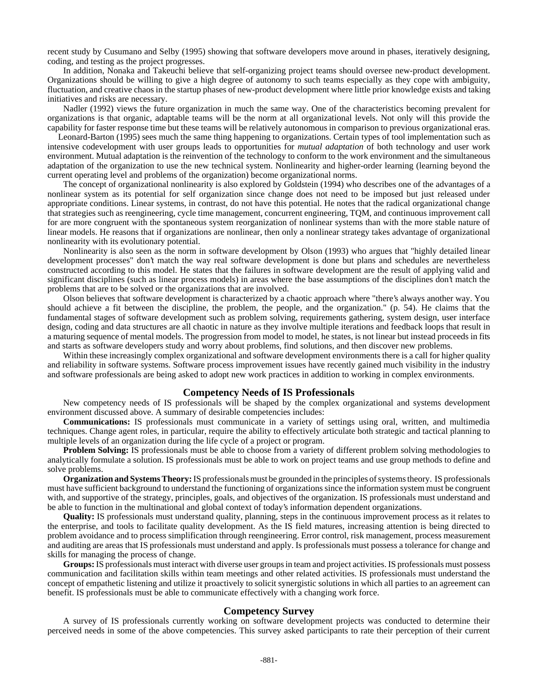recent study by Cusumano and Selby (1995) showing that software developers move around in phases, iteratively designing, coding, and testing as the project progresses.

In addition, Nonaka and Takeuchi believe that self-organizing project teams should oversee new-product development. Organizations should be willing to give a high degree of autonomy to such teams especially as they cope with ambiguity, fluctuation, and creative chaos in the startup phases of new-product development where little prior knowledge exists and taking initiatives and risks are necessary.

Nadler (1992) views the future organization in much the same way. One of the characteristics becoming prevalent for organizations is that organic, adaptable teams will be the norm at all organizational levels. Not only will this provide the capability for faster response time but these teams will be relatively autonomous in comparison to previous organizational eras.

 Leonard-Barton (1995) sees much the same thing happening to organizations. Certain types of tool implementation such as intensive codevelopment with user groups leads to opportunities for *mutual adaptation* of both technology and user work environment. Mutual adaptation is the reinvention of the technology to conform to the work environment and the simultaneous adaptation of the organization to use the new technical system. Nonlinearity and higher-order learning (learning beyond the current operating level and problems of the organization) become organizational norms.

The concept of organizational nonlinearity is also explored by Goldstein (1994) who describes one of the advantages of a nonlinear system as its potential for self organization since change does not need to be imposed but just released under appropriate conditions. Linear systems, in contrast, do not have this potential. He notes that the radical organizational change that strategies such as reengineering, cycle time management, concurrent engineering, TQM, and continuous improvement call for are more congruent with the spontaneous system reorganization of nonlinear systems than with the more stable nature of linear models. He reasons that if organizations are nonlinear, then only a nonlinear strategy takes advantage of organizational nonlinearity with its evolutionary potential.

Nonlinearity is also seen as the norm in software development by Olson (1993) who argues that "highly detailed linear development processes" don't match the way real software development is done but plans and schedules are nevertheless constructed according to this model. He states that the failures in software development are the result of applying valid and significant disciplines (such as linear process models) in areas where the base assumptions of the disciplines don't match the problems that are to be solved or the organizations that are involved.

Olson believes that software development is characterized by a chaotic approach where "there's always another way. You should achieve a fit between the discipline, the problem, the people, and the organization." (p. 54). He claims that the fundamental stages of software development such as problem solving, requirements gathering, system design, user interface design, coding and data structures are all chaotic in nature as they involve multiple iterations and feedback loops that result in a maturing sequence of mental models. The progression from model to model, he states, is not linear but instead proceeds in fits and starts as software developers study and worry about problems, find solutions, and then discover new problems.

Within these increasingly complex organizational and software development environments there is a call for higher quality and reliability in software systems. Software process improvement issues have recently gained much visibility in the industry and software professionals are being asked to adopt new work practices in addition to working in complex environments.

#### **Competency Needs of IS Professionals**

New competency needs of IS professionals will be shaped by the complex organizational and systems development environment discussed above. A summary of desirable competencies includes:

**Communications:** IS professionals must communicate in a variety of settings using oral, written, and multimedia techniques. Change agent roles, in particular, require the ability to effectively articulate both strategic and tactical planning to multiple levels of an organization during the life cycle of a project or program.

**Problem Solving:** IS professionals must be able to choose from a variety of different problem solving methodologies to analytically formulate a solution. IS professionals must be able to work on project teams and use group methods to define and solve problems.

**Organization and Systems Theory:** IS professionals must be grounded in the principles of systems theory. IS professionals must have sufficient background to understand the functioning of organizations since the information system must be congruent with, and supportive of the strategy, principles, goals, and objectives of the organization. IS professionals must understand and be able to function in the multinational and global context of today's information dependent organizations.

**Quality:** IS professionals must understand quality, planning, steps in the continuous improvement process as it relates to the enterprise, and tools to facilitate quality development. As the IS field matures, increasing attention is being directed to problem avoidance and to process simplification through reengineering. Error control, risk management, process measurement and auditing are areas that IS professionals must understand and apply. Is professionals must possess a tolerance for change and skills for managing the process of change.

**Groups:** IS professionals must interact with diverse user groups in team and project activities. IS professionals must possess communication and facilitation skills within team meetings and other related activities. IS professionals must understand the concept of empathetic listening and utilize it proactively to solicit synergistic solutions in which all parties to an agreement can benefit. IS professionals must be able to communicate effectively with a changing work force.

#### **Competency Survey**

A survey of IS professionals currently working on software development projects was conducted to determine their perceived needs in some of the above competencies. This survey asked participants to rate their perception of their current